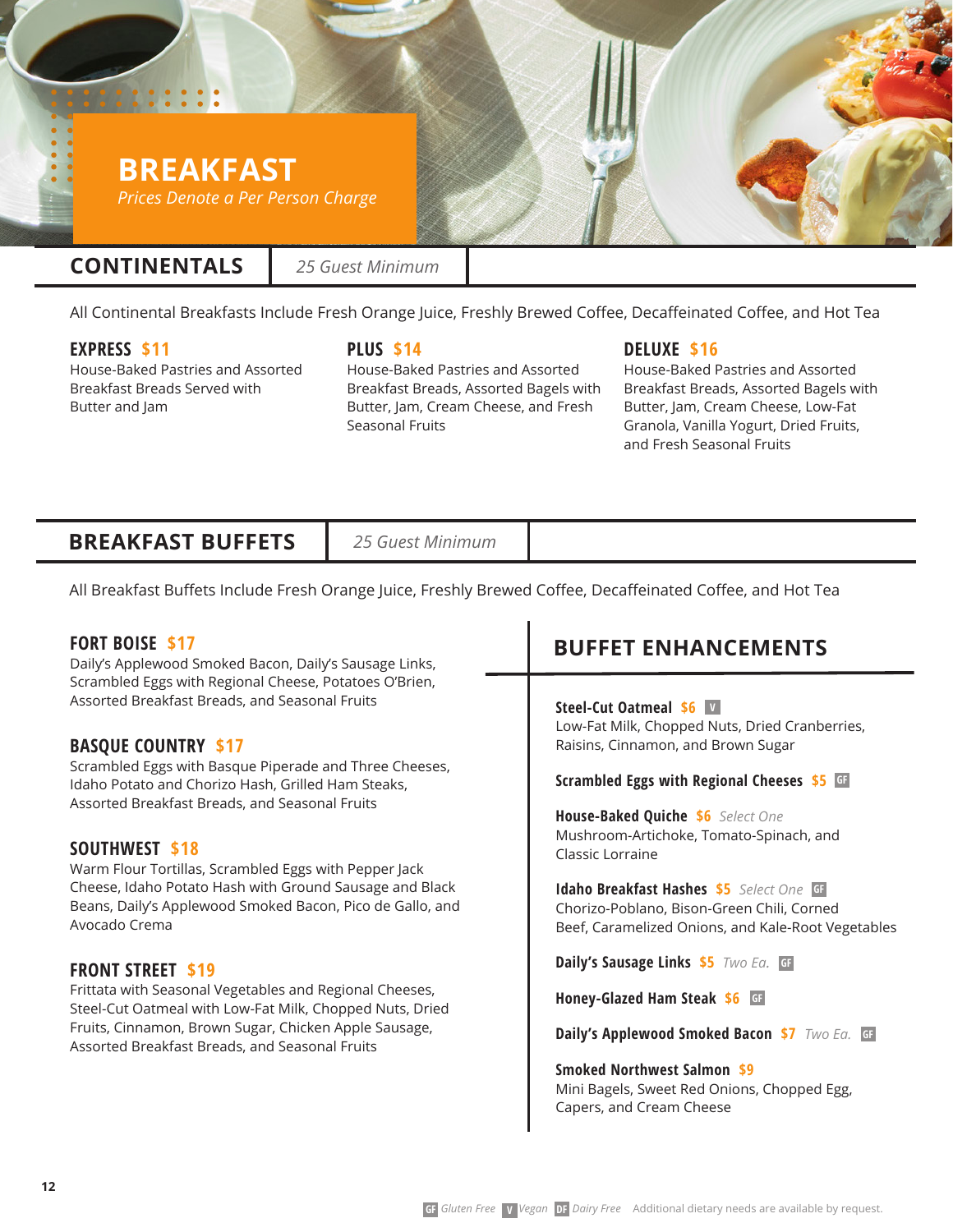# **BREAKFAST** *Prices Denote a Per Person Charge*

# **CONTINENTALS**

*25 Guest Minimum*

All Continental Breakfasts Include Fresh Orange Juice, Freshly Brewed Coffee, Decaffeinated Coffee, and Hot Tea

### **EXPRESS \$11**

House-Baked Pastries and Assorted Breakfast Breads Served with Butter and Jam

**PLUS \$14**

House-Baked Pastries and Assorted Breakfast Breads, Assorted Bagels with Butter, Jam, Cream Cheese, and Fresh Seasonal Fruits

### **DELUXE \$16**

House-Baked Pastries and Assorted Breakfast Breads, Assorted Bagels with Butter, Jam, Cream Cheese, Low-Fat Granola, Vanilla Yogurt, Dried Fruits, and Fresh Seasonal Fruits

# **BREAKFAST BUFFETS**

*25 Guest Minimum*

All Breakfast Buffets Include Fresh Orange Juice, Freshly Brewed Coffee, Decaffeinated Coffee, and Hot Tea

### **FORT BOISE \$17**

Daily's Applewood Smoked Bacon, Daily's Sausage Links, Scrambled Eggs with Regional Cheese, Potatoes O'Brien, Assorted Breakfast Breads, and Seasonal Fruits

### **BASQUE COUNTRY \$17**

Scrambled Eggs with Basque Piperade and Three Cheeses, Idaho Potato and Chorizo Hash, Grilled Ham Steaks, Assorted Breakfast Breads, and Seasonal Fruits

#### **SOUTHWEST \$18**

Warm Flour Tortillas, Scrambled Eggs with Pepper Jack Cheese, Idaho Potato Hash with Ground Sausage and Black Beans, Daily's Applewood Smoked Bacon, Pico de Gallo, and Avocado Crema

#### **FRONT STREET \$19**

Frittata with Seasonal Vegetables and Regional Cheeses, Steel-Cut Oatmeal with Low-Fat Milk, Chopped Nuts, Dried Fruits, Cinnamon, Brown Sugar, Chicken Apple Sausage, Assorted Breakfast Breads, and Seasonal Fruits

# **BUFFET ENHANCEMENTS**

**Steel-Cut Oatmeal \$6 V** Low-Fat Milk, Chopped Nuts, Dried Cranberries, Raisins, Cinnamon, and Brown Sugar

#### **Scrambled Eggs with Regional Cheeses \$5 GF**

**House-Baked Quiche \$6** *Select One* Mushroom-Artichoke, Tomato-Spinach, and Classic Lorraine

**Idaho Breakfast Hashes \$5** *Select One* **GF** Chorizo-Poblano, Bison-Green Chili, Corned Beef, Caramelized Onions, and Kale-Root Vegetables

**Daily's Sausage Links \$5** *Two Ea.* **GF**

**Honey-Glazed Ham Steak \$6 GF**

**Daily's Applewood Smoked Bacon \$7** *Two Ea.* **GF**

**Smoked Northwest Salmon \$9** Mini Bagels, Sweet Red Onions, Chopped Egg, Capers, and Cream Cheese